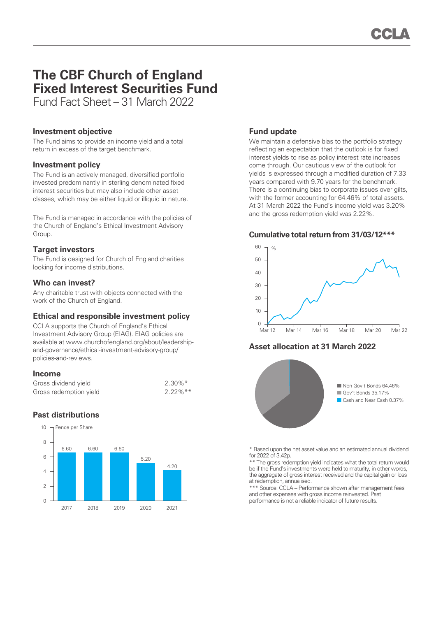# **The CBF Church of England Fixed Interest Securities Fund**

Fund Fact Sheet – 31 March 2022

## **Investment objective**

The Fund aims to provide an income yield and a total return in excess of the target benchmark.

# **Investment policy**

The Fund is an actively managed, diversified portfolio invested predominantly in sterling denominated fixed interest securities but may also include other asset classes, which may be either liquid or illiquid in nature.

The Fund is managed in accordance with the policies of the Church of England's Ethical Investment Advisory Group.

# **Target investors**

The Fund is designed for Church of England charities looking for income distributions.

# **Who can invest?**

Any charitable trust with objects connected with the work of the Church of England.

# **Ethical and responsible investment policy**

CCLA supports the Church of England's Ethical Investment Advisory Group (EIAG). EIAG policies are available at www.churchofengland.org/about/leadershipand-governance/ethical-investment-advisory-group/ policies-and-reviews.

## **Income**

| Gross dividend yield   | $2.30\%$ <sup>*</sup> |
|------------------------|-----------------------|
| Gross redemption yield | $2.22\%$ **           |

# **Past distributions**



# **Fund update**

We maintain a defensive bias to the portfolio strategy reflecting an expectation that the outlook is for fixed interest yields to rise as policy interest rate increases come through. Our cautious view of the outlook for yields is expressed through a modified duration of 7.33 years compared with 9.70 years for the benchmark. There is a continuing bias to corporate issues over gilts, with the former accounting for 64.46% of total assets. At 31 March 2022 the Fund's income yield was 3.20% and the gross redemption yield was 2.22%.

### **Cumulative total return from 31/03/12\*\*\***



# **Asset allocation at 31 March 2022**



\* Based upon the net asset value and an estimated annual dividend for 2022 of 3.42p.

\*\* The gross redemption yield indicates what the total return would be if the Fund's investments were held to maturity, in other words, the aggregate of gross interest received and the capital gain or loss at redemption, annualised.

\*\*\* Source: CCLA – Performance shown after management fees and other expenses with gross income reinvested. Past performance is not a reliable indicator of future results.